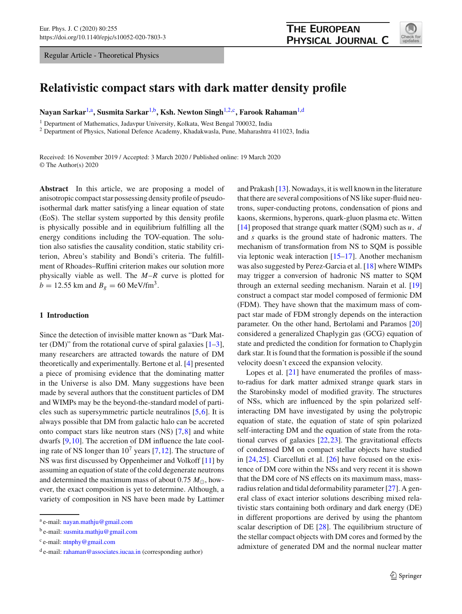Regular Article - Theoretical Physics



# **Relativistic compact stars with dark matter density profile**

Nayan Sarkar<sup>[1,](#page-0-0)a</sup>, Susmita Sarkar<sup>1,b</sup>, Ksh. Newton Singh<sup>[1,2,](#page-0-0)c</sup>, Farook Rahaman<sup>1,d</sup>

<sup>1</sup> Department of Mathematics, Jadavpur University, Kolkata, West Bengal 700032, India

<sup>2</sup> Department of Physics, National Defence Academy, Khadakwasla, Pune, Maharashtra 411023, India

Received: 16 November 2019 / Accepted: 3 March 2020 / Published online: 19 March 2020 © The Author(s) 2020

**Abstract** In this article, we are proposing a model of anisotropic compact star possessing density profile of pseudoisothermal dark matter satisfying a linear equation of state (EoS). The stellar system supported by this density profile is physically possible and in equilibrium fulfilling all the energy conditions including the TOV-equation. The solution also satisfies the causality condition, static stability criterion, Abreu's stability and Bondi's criteria. The fulfillment of Rhoades–Ruffini criterion makes our solution more physically viable as well. The *M*–*R* curve is plotted for  $b = 12.55$  km and  $B_g = 60$  MeV/fm<sup>3</sup>.

# **1 Introduction**

Since the detection of invisible matter known as "Dark Matter (DM)" from the rotational curve of spiral galaxies  $[1-3]$ , many researchers are attracted towards the nature of DM theoretically and experimentally. Bertone et al. [\[4\]](#page-11-2) presented a piece of promising evidence that the dominating matter in the Universe is also DM. Many suggestions have been made by several authors that the constituent particles of DM and WIMPs may be the beyond-the-standard model of particles such as supersymmetric particle neutralinos [\[5,](#page-11-3)[6\]](#page-11-4). It is always possible that DM from galactic halo can be accreted onto compact stars like neutron stars (NS) [\[7,](#page-11-5)[8\]](#page-11-6) and white dwarfs [\[9](#page-11-7)[,10](#page-11-8)]. The accretion of DM influence the late cooling rate of NS longer than  $10^7$  years [\[7](#page-11-5), [12\]](#page-11-9). The structure of NS was first discussed by Oppenheimer and Volkoff [\[11](#page-11-10)] by assuming an equation of state of the cold degenerate neutrons and determined the maximum mass of about 0.75  $M_{\odot}$ , however, the exact composition is yet to determine. Although, a variety of composition in NS have been made by Lattimer <span id="page-0-0"></span>and Prakash [\[13\]](#page-11-11). Nowadays, it is well known in the literature that there are several compositions of NS like super-fluid neutrons, super-conducting protons, condensation of pions and kaons, skermions, hyperons, quark-gluon plasma etc. Witten [\[14](#page-11-12)] proposed that strange quark matter (SQM) such as *u*, *d* and *s* quarks is the ground state of hadronic matters. The mechanism of transformation from NS to SQM is possible via leptonic weak interaction [\[15](#page-11-13)[–17](#page-11-14)]. Another mechanism was also suggested by Perez-Garcia et al. [\[18\]](#page-11-15) where WIMPs may trigger a conversion of hadronic NS matter to SQM through an external seeding mechanism. Narain et al. [\[19\]](#page-11-16) construct a compact star model composed of fermionic DM (FDM). They have shown that the maximum mass of compact star made of FDM strongly depends on the interaction parameter. On the other hand, Bertolami and Paramos [\[20\]](#page-11-17) considered a generalized Chaplygin gas (GCG) equation of state and predicted the condition for formation to Chaplygin dark star. It is found that the formation is possible if the sound velocity doesn't exceed the expansion velocity.

Lopes et al.  $[21]$  have enumerated the profiles of massto-radius for dark matter admixed strange quark stars in the Starobinsky model of modified gravity. The structures of NSs, which are influenced by the spin polarized selfinteracting DM have investigated by using the polytropic equation of state, the equation of state of spin polarized self-interacting DM and the equation of state from the rotational curves of galaxies [\[22](#page-11-19)[,23](#page-11-20)]. The gravitational effects of condensed DM on compact stellar objects have studied in [\[24](#page-11-21),[25\]](#page-11-22). Ciarcelluti et al. [\[26](#page-11-23)] have focused on the existence of DM core within the NSs and very recent it is shown that the DM core of NS effects on its maximum mass, massradius relation and tidal deformability parameter  $[27]$ . A general class of exact interior solutions describing mixed relativistic stars containing both ordinary and dark energy (DE) in different proportions are derived by using the phantom scalar description of DE [\[28\]](#page-11-25). The equilibrium structure of the stellar compact objects with DM cores and formed by the admixture of generated DM and the normal nuclear matter

a e-mail: [nayan.mathju@gmail.com](mailto:nayan.mathju@gmail.com)

<sup>&</sup>lt;sup>b</sup> e-mail: [susmita.mathju@gmail.com](mailto:susmita.mathju@gmail.com)

<sup>&</sup>lt;sup>c</sup> e-mail: [ntnphy@gmail.com](mailto:ntnphy@gmail.com)

d e-mail: [rahaman@associates.iucaa.in](mailto:rahaman@associates.iucaa.in) (corresponding author)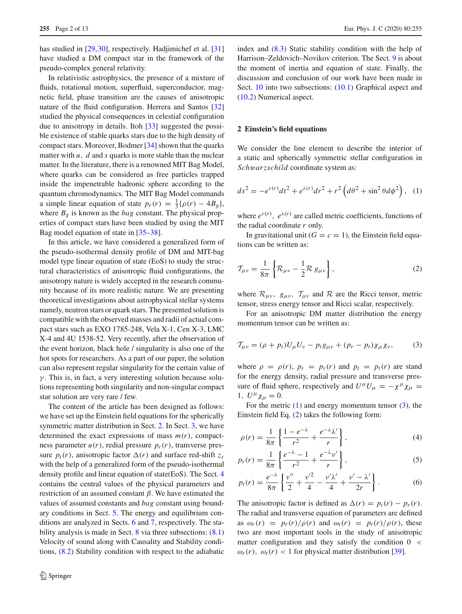has studied in [\[29](#page-11-26)[,30](#page-11-27)], respectively. Hadjimichef et al. [\[31\]](#page-11-28) have studied a DM compact star in the framework of the pseudo-complex general relativity.

In relativistic astrophysics, the presence of a mixture of fluids, rotational motion, superfluid, superconductor, magnetic field, phase transition are the causes of anisotropic nature of the fluid configuration. Herrera and Santos [\[32\]](#page-11-29) studied the physical consequences in celestial configuration due to anisotropy in details. Itoh [\[33\]](#page-11-30) suggested the possible existence of stable quarks stars due to the high density of compact stars. Moreover, Bodmer [\[34](#page-11-31)] shown that the quarks matter with *u*, *d* and *s* quarks is more stable than the nuclear matter. In the literature, there is a renowned MIT Bag Model, where quarks can be considered as free particles trapped inside the impenetrable hadronic sphere according to the quantum chromodynamics. The MIT Bag Model commands a simple linear equation of state  $p_r(r) = \frac{1}{3} {\rho(r) - 4B_g}$ , where  $B_g$  is known as the *bag* constant. The physical properties of compact stars have been studied by using the MIT Bag model equation of state in [\[35](#page-11-32)[–38\]](#page-11-33).

In this article, we have considered a generalized form of the pseudo-isothermal density profile of DM and MIT-bag model type linear equation of state (EoS) to study the structural characteristics of anisotropic fluid configurations, the anisotropy nature is widely accepted in the research community because of its more realistic nature. We are presenting theoretical investigations about astrophysical stellar systems namely, neutron stars or quark stars. The presented solution is compatible with the observed masses and radii of actual compact stars such as EXO 1785-248, Vela X-1, Cen X-3, LMC X-4 and 4U 1538-52. Very recently, after the observation of the event horizon, black hole / singularity is also one of the hot spots for researchers. As a part of our paper, the solution can also represent regular singularity for the certain value of  $\gamma$ . This is, in fact, a very interesting solution because solutions representing both singularity and non-singular compact star solution are very rare / few.

The content of the article has been designed as follows: we have set up the Einstein field equations for the spherically symmetric matter distribution in Sect. [2.](#page-1-0) In Sect. [3,](#page-2-0) we have determined the exact expressions of mass  $m(r)$ , compactness parameter  $u(r)$ , redial pressure  $p_r(r)$ , transverse pressure  $p_t(r)$ , anisotropic factor  $\Delta(r)$  and surface red-shift  $z_s$ with the help of a generalized form of the pseudo-isothermal density profile and linear equation of state(EoS). The Sect. [4](#page-4-0) contains the central values of the physical parameters and restriction of an assumed constant β. We have estimated the values of assumed constants and *bag* constant using boundary conditions in Sect. [5.](#page-4-1) The energy and equilibrium conditions are analyzed in Sects. [6](#page-5-0) and [7,](#page-5-1) respectively. The sta-bility analysis is made in Sect. [8](#page-6-0) via three subsections:  $(8.1)$ Velocity of sound along with Causality and Stability conditions, [\(8.2\)](#page-6-2) Stability condition with respect to the adiabatic index and [\(8.3\)](#page-7-0) Static stability condition with the help of Harrison–Zeldovich–Novikov criterion. The Sect. [9](#page-7-1) is about the moment of inertia and equation of state. Finally, the discussion and conclusion of our work have been made in Sect. [10](#page-8-0) into two subsections:  $(10.1)$  Graphical aspect and [\(10.2\)](#page-11-34) Numerical aspect.

# <span id="page-1-0"></span>**2 Einstein's field equations**

<span id="page-1-1"></span>We consider the line element to describe the interior of a static and spherically symmetric stellar configuration in *Sch*w*arzschild* coordinate system as:

$$
ds^{2} = -e^{\nu(r)}dt^{2} + e^{\lambda(r)}dr^{2} + r^{2}\left(d\theta^{2} + \sin^{2}\theta d\phi^{2}\right), \quad (1)
$$

where  $e^{v(r)}$ ,  $e^{\lambda(r)}$  are called metric coefficients, functions of the radial coordinate *r* only.

<span id="page-1-3"></span>In gravitational unit  $(G = c = 1)$ , the Einstein field equations can be written as:

$$
\mathcal{T}_{\mu\nu} = \frac{1}{8\pi} \left\{ \mathcal{R}_{\mu\nu} - \frac{1}{2} \mathcal{R} g_{\mu\nu} \right\},\tag{2}
$$

where  $\mathcal{R}_{\mu\nu}$ ,  $g_{\mu\nu}$ ,  $\mathcal{T}_{\mu\nu}$  and  $\mathcal{R}$  are the Ricci tensor, metric tensor, stress energy tensor and Ricci scalar, respectively.

<span id="page-1-2"></span>For an anisotropic DM matter distribution the energy momentum tensor can be written as:

$$
\mathcal{T}_{\mu\nu} = (\rho + p_t)U_{\mu}U_{\nu} - p_t g_{\mu\nu} + (p_r - p_t) \chi_{\mu} \chi_{\nu},\tag{3}
$$

where  $\rho = \rho(r)$ ,  $p_r = p_r(r)$  and  $p_t = p_t(r)$  are stand for the energy density, radial pressure and transverse pressure of fluid sphere, respectively and  $U^{\mu}U_{\mu} = -\chi^{\mu}\chi_{\mu} =$ 1,  $U^{\mu} \chi_{\mu} = 0$ .

For the metric  $(1)$  and energy momentum tensor  $(3)$ , the Einstein field Eq. [\(2\)](#page-1-3) takes the following form:

<span id="page-1-4"></span>
$$
\rho(r) = \frac{1}{8\pi} \left\{ \frac{1 - e^{-\lambda}}{r^2} + \frac{e^{-\lambda}\lambda'}{r} \right\},\tag{4}
$$

$$
p_r(r) = \frac{1}{8\pi} \left\{ \frac{e^{-\lambda} - 1}{r^2} + \frac{e^{-\lambda} v'}{r} \right\},\tag{5}
$$

$$
p_t(r) = \frac{e^{-\lambda}}{8\pi} \left\{ \frac{v''}{2} + \frac{v'^2}{4} - \frac{v'\lambda'}{4} + \frac{v' - \lambda'}{2r} \right\}.
$$
 (6)

The anisotropic factor is defined as  $\Delta(r) = p_t(r) - p_r(r)$ . The radial and transverse equation of parameters are defined as  $\omega_r(r) = p_r(r)/\rho(r)$  and  $\omega_t(r) = p_t(r)/\rho(r)$ , these two are most important tools in the study of anisotropic matter configuration and they satisfy the condition 0 <  $\omega_r(r)$ ,  $\omega_t(r)$  < 1 for physical matter distribution [\[39](#page-11-35)].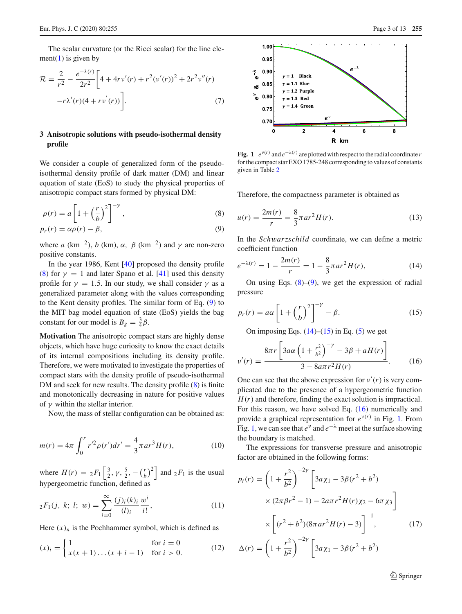The scalar curvature (or the Ricci scalar) for the line ele-ment[\(1\)](#page-1-1) is given by

$$
\mathcal{R} = \frac{2}{r^2} - \frac{e^{-\lambda(r)}}{2r^2} \bigg[ 4 + 4rv'(r) + r^2(v'(r))^2 + 2r^2v''(r) - r\lambda'(r)(4 + rv'(r)) \bigg].
$$
\n(7)

# <span id="page-2-0"></span>**3 Anisotropic solutions with pseudo-isothermal density profile**

We consider a couple of generalized form of the pseudoisothermal density profile of dark matter (DM) and linear equation of state (EoS) to study the physical properties of anisotropic compact stars formed by physical DM:

<span id="page-2-1"></span>
$$
\rho(r) = a \left[ 1 + \left(\frac{r}{b}\right)^2 \right]^{-\gamma},\tag{8}
$$

$$
p_r(r) = \alpha \rho(r) - \beta,\tag{9}
$$

where *a* (km<sup>-2</sup>), *b* (km),  $\alpha$ ,  $\beta$  (km<sup>-2</sup>) and  $\gamma$  are non-zero positive constants.

In the year 1986, Kent [\[40](#page-11-36)] proposed the density profile [\(8\)](#page-2-1) for  $\gamma = 1$  and later Spano et al. [\[41\]](#page-11-37) used this density profile for  $\gamma = 1.5$ . In our study, we shall consider  $\gamma$  as a generalized parameter along with the values corresponding to the Kent density profiles. The similar form of Eq. [\(9\)](#page-2-1) to the MIT bag model equation of state (EoS) yields the bag constant for our model is  $B_g = \frac{3}{4}\beta$ .

**Motivation** The anisotropic compact stars are highly dense objects, which have huge curiosity to know the exact details of its internal compositions including its density profile. Therefore, we were motivated to investigate the properties of compact stars with the density profile of pseudo-isothermal DM and seek for new results. The density profile [\(8\)](#page-2-1) is finite and monotonically decreasing in nature for positive values of  $\gamma$  within the stellar interior.

Now, the mass of stellar configuration can be obtained as:

$$
m(r) = 4\pi \int_0^r r'^2 \rho(r') dr' = \frac{4}{3} \pi a r^3 H(r), \qquad (10)
$$

where  $H(r) = {}_2F_1\left[\frac{3}{2}, \gamma, \frac{5}{2}, -\left(\frac{r}{b}\right)^2\right]$  and  ${}_2F_1$  is the usual hypergeometric function, defined as

$$
{}_2F_1(j, k; l; w) = \sum_{i=0}^{\infty} \frac{(j)_i(k)_i}{(l)_i} \frac{w^i}{i!},
$$
\n(11)

Here  $(x)_n$  is the Pochhammer symbol, which is defined as

$$
(x)_i = \begin{cases} 1 & \text{for } i = 0\\ x(x+1)\dots(x+i-1) & \text{for } i > 0. \end{cases}
$$
 (12)



<span id="page-2-5"></span>**Fig.** 1  $e^{v(r)}$  and  $e^{-\lambda(r)}$  are plotted with respect to the radial coordinate *r* for the compact star EXO 1785-248 corresponding to values of constants given in Table [2](#page-9-1)

Therefore, the compactness parameter is obtained as

$$
u(r) = \frac{2m(r)}{r} = \frac{8}{3}\pi a r^2 H(r).
$$
 (13)

In the *Sch*w*arzschild* coordinate, we can define a metric coefficient function

<span id="page-2-2"></span>
$$
e^{-\lambda(r)} = 1 - \frac{2m(r)}{r} = 1 - \frac{8}{3}\pi ar^2 H(r),\tag{14}
$$

On using Eqs.  $(8)$ – $(9)$ , we get the expression of radial pressure

<span id="page-2-3"></span>
$$
p_r(r) = a\alpha \left[ 1 + \left(\frac{r}{b}\right)^2 \right]^{-\gamma} - \beta. \tag{15}
$$

On imposing Eqs.  $(14)$ – $(15)$  in Eq.  $(5)$  we get

<span id="page-2-4"></span>
$$
v'(r) = \frac{8\pi r \left[3a\alpha \left(1 + \frac{r^2}{b^2}\right)^{-\gamma} - 3\beta + aH(r)\right]}{3 - 8a\pi r^2 H(r)}.
$$
 (16)

One can see that the above expression for  $v'(r)$  is very complicated due to the presence of a hypergeometric function  $H(r)$  and therefore, finding the exact solution is impractical. For this reason, we have solved Eq. [\(16\)](#page-2-4) numerically and provide a graphical representation for  $e^{v(r)}$  in Fig. [1.](#page-2-5) From Fig. [1,](#page-2-5) we can see that  $e^v$  and  $e^{-\lambda}$  meet at the surface showing the boundary is matched.

The expressions for transverse pressure and anisotropic factor are obtained in the following forms:

$$
p_t(r) = \left(1 + \frac{r^2}{b^2}\right)^{-2\gamma} \left[3a\chi_1 - 3\beta(r^2 + b^2) \times (2\pi\beta r^2 - 1) - 2a\pi r^2 H(r)\chi_2 - 6\pi \chi_3\right]
$$

$$
\times \left[ (r^2 + b^2)(8\pi a r^2 H(r) - 3) \right]^{-1}, \qquad (17)
$$

$$
\Delta(r) = \left(1 + \frac{r^2}{b^2}\right)^{-2\gamma} \left[3a\chi_1 - 3\beta(r^2 + b^2)\right]
$$

<sup>2</sup> Springer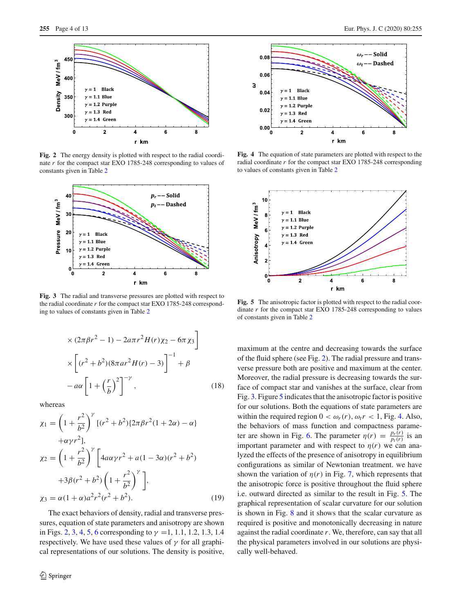

<span id="page-3-0"></span>**Fig. 2** The energy density is plotted with respect to the radial coordinate *r* for the compact star EXO 1785-248 corresponding to values of constants given in Table [2](#page-9-1)



<span id="page-3-1"></span>**Fig. 3** The radial and transverse pressures are plotted with respect to the radial coordinate *r* for the compact star EXO 1785-248 corresponding to values of constants given in Table [2](#page-9-1)

$$
\times (2\pi\beta r^2 - 1) - 2a\pi r^2 H(r) \chi_2 - 6\pi \chi_3
$$

$$
\times \left[ (r^2 + b^2)(8\pi a r^2 H(r) - 3) \right]^{-1} + \beta
$$

$$
-a\alpha \left[ 1 + \left(\frac{r}{b}\right)^2 \right]^{-\gamma}, \qquad (18)
$$

whereas

$$
\chi_1 = \left(1 + \frac{r^2}{b^2}\right)^{\gamma} \left[(r^2 + b^2)\left\{2\pi\beta r^2(1 + 2\alpha) - \alpha\right\}\right]
$$
  
+ $\alpha \gamma r^2$ ],  

$$
\chi_2 = \left(1 + \frac{r^2}{b^2}\right)^{\gamma} \left[4a\alpha\gamma r^2 + a(1 - 3\alpha)(r^2 + b^2) + 3\beta(r^2 + b^2)\left(1 + \frac{r^2}{b^2}\right)^{\gamma}\right],
$$
  

$$
\chi_3 = \alpha(1 + \alpha)a^2r^2(r^2 + b^2).
$$
 (19)

The exact behaviors of density, radial and transverse pressures, equation of state parameters and anisotropy are shown in Figs. [2,](#page-3-0) [3,](#page-3-1) [4,](#page-3-2) [5,](#page-3-3) [6](#page-4-2) corresponding to  $\gamma = 1, 1.1, 1.2, 1.3, 1.4$ respectively. We have used these values of  $\gamma$  for all graphical representations of our solutions. The density is positive,



<span id="page-3-2"></span>**Fig. 4** The equation of state parameters are plotted with respect to the radial coordinate *r* for the compact star EXO 1785-248 corresponding to values of constants given in Table [2](#page-9-1)



<span id="page-3-3"></span>**Fig. 5** The anisotropic factor is plotted with respect to the radial coordinate *r* for the compact star EXO 1785-248 corresponding to values of constants given in Table [2](#page-9-1)

maximum at the centre and decreasing towards the surface of the fluid sphere (see Fig. [2\)](#page-3-0). The radial pressure and transverse pressure both are positive and maximum at the center. Moreover, the radial pressure is decreasing towards the surface of compact star and vanishes at the surface, clear from Fig. [3.](#page-3-1) Figure [5](#page-3-3) indicates that the anisotropic factor is positive for our solutions. Both the equations of state parameters are within the required region  $0 < \omega_r(r)$ ,  $\omega_t r < 1$ , Fig. [4.](#page-3-2) Also, the behaviors of mass function and compactness parame-ter are shown in Fig. [6.](#page-4-2) The parameter  $\eta(r) = \frac{p_r(r)}{p_r(r)}$  $\frac{p_r(r)}{p_t(r)}$  is an important parameter and with respect to  $\eta(r)$  we can analyzed the effects of the presence of anisotropy in equilibrium configurations as similar of Newtonian treatment. we have shown the variation of  $\eta(r)$  in Fig. [7,](#page-4-3) which represents that the anisotropic force is positive throughout the fluid sphere i.e. outward directed as similar to the result in Fig. [5.](#page-3-3) The graphical representation of scalar curvature for our solution is shown in Fig. [8](#page-4-4) and it shows that the scalar curvature as required is positive and monotonically decreasing in nature against the radial coordinate *r*. We, therefore, can say that all the physical parameters involved in our solutions are physically well-behaved.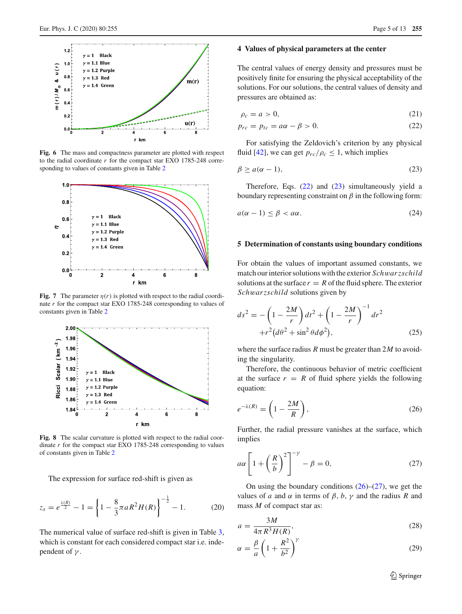

<span id="page-4-2"></span>**Fig. 6** The mass and compactness parameter are plotted with respect to the radial coordinate *r* for the compact star EXO 1785-248 corresponding to values of constants given in Table [2](#page-9-1)



<span id="page-4-3"></span>**Fig. 7** The parameter  $\eta(r)$  is plotted with respect to the radial coordinate *r* for the compact star EXO 1785-248 corresponding to values of constants given in Table [2](#page-9-1)



<span id="page-4-4"></span>**Fig. 8** The scalar curvature is plotted with respect to the radial coordinate *r* for the compact star EXO 1785-248 corresponding to values of constants given in Table [2](#page-9-1)

The expression for surface red-shift is given as

$$
z_s = e^{\frac{\lambda(R)}{2}} - 1 = \left\{ 1 - \frac{8}{3}\pi aR^2 H(R) \right\}^{-\frac{1}{2}} - 1.
$$
 (20)

The numerical value of surface red-shift is given in Table [3,](#page-10-0) which is constant for each considered compact star i.e. independent of  $\gamma$ .

### <span id="page-4-0"></span>**4 Values of physical parameters at the center**

The central values of energy density and pressures must be positively finite for ensuring the physical acceptability of the solutions. For our solutions, the central values of density and pressures are obtained as:

<span id="page-4-5"></span>
$$
\rho_c = a > 0,\tag{21}
$$

$$
p_{rc} = p_{tc} = a\alpha - \beta > 0. \tag{22}
$$

For satisfying the Zeldovich's criterion by any physical fluid [\[42](#page-11-38)], we can get  $p_{rc}/\rho_c \leq 1$ , which implies

<span id="page-4-6"></span>
$$
\beta \ge a(\alpha - 1),\tag{23}
$$

Therefore, Eqs.  $(22)$  and  $(23)$  simultaneously yield a boundary representing constraint on  $\beta$  in the following form:

$$
a(\alpha - 1) \le \beta < a\alpha. \tag{24}
$$

## <span id="page-4-1"></span>**5 Determination of constants using boundary conditions**

For obtain the values of important assumed constants, we match our interior solutions with the exterior *Sch*w*arzschild* solutions at the surface  $r = R$  of the fluid sphere. The exterior *Sch*w*arzschild* solutions given by

$$
ds^{2} = -\left(1 - \frac{2M}{r}\right)dt^{2} + \left(1 - \frac{2M}{r}\right)^{-1}dr^{2} + r^{2}(d\theta^{2} + \sin^{2}\theta d\phi^{2}),
$$
\n(25)

where the surface radius *R* must be greater than 2*M* to avoiding the singularity.

Therefore, the continuous behavior of metric coefficient at the surface  $r = R$  of fluid sphere yields the following equation:

<span id="page-4-7"></span>
$$
e^{-\lambda(R)} = \left(1 - \frac{2M}{R}\right),\tag{26}
$$

Further, the radial pressure vanishes at the surface, which implies

<span id="page-4-8"></span>
$$
a\alpha \left[1 + \left(\frac{R}{b}\right)^2\right]^{-\gamma} - \beta = 0,\tag{27}
$$

On using the boundary conditions  $(26)$ – $(27)$ , we get the values of *a* and  $\alpha$  in terms of  $\beta$ ,  $b$ ,  $\gamma$  and the radius *R* and mass *M* of compact star as:

$$
a = \frac{3M}{4\pi R^3 H(R)},\tag{28}
$$

$$
\alpha = \frac{\beta}{a} \left( 1 + \frac{R^2}{b^2} \right)^{\gamma} \tag{29}
$$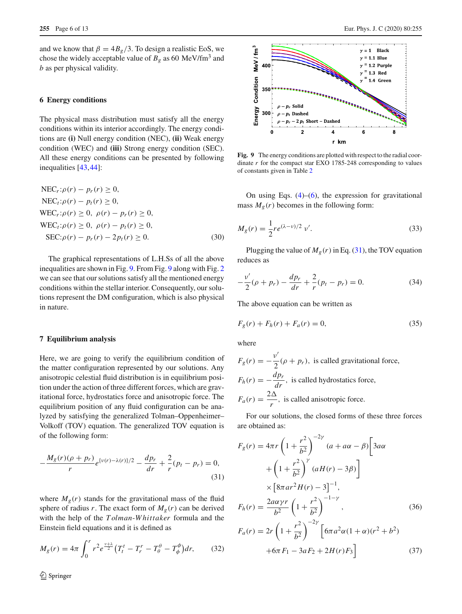and we know that  $\beta = 4B_g/3$ . To design a realistic EoS, we chose the widely acceptable value of  $B_g$  as 60 MeV/fm<sup>3</sup> and *b* as per physical validity.

#### <span id="page-5-0"></span>**6 Energy conditions**

The physical mass distribution must satisfy all the energy conditions within its interior accordingly. The energy conditions are **(i)** Null energy condition (NEC), **(ii)** Weak energy condition (WEC) and **(iii)** Strong energy condition (SEC). All these energy conditions can be presented by following inequalities [\[43,](#page-11-39)[44\]](#page-11-40):

$$
NECr: \rho(r) - pr(r) \ge 0,
$$
  
\n
$$
NECt: \rho(r) - pt(r) \ge 0,
$$
  
\n
$$
WECr: \rho(r) \ge 0, \ \rho(r) - pr(r) \ge 0,
$$
  
\n
$$
WECt: \rho(r) \ge 0, \ \rho(r) - pt(r) \ge 0,
$$
  
\n
$$
SEC: \rho(r) - pr(r) - 2pt(r) \ge 0.
$$
\n(30)

The graphical representations of L.H.Ss of all the above inequalities are shown in Fig. [9.](#page-5-2) From Fig. [9](#page-5-2) along with Fig. [2](#page-3-0) we can see that our solutions satisfy all the mentioned energy conditions within the stellar interior. Consequently, our solutions represent the DM configuration, which is also physical in nature.

#### <span id="page-5-1"></span>**7 Equilibrium analysis**

Here, we are going to verify the equilibrium condition of the matter configuration represented by our solutions. Any anisotropic celestial fluid distribution is in equilibrium position under the action of three different forces, which are gravitational force, hydrostatics force and anisotropic force. The equilibrium position of any fluid configuration can be analyzed by satisfying the generalized Tolman–Oppenheimer– Volkoff (TOV) equation. The generalized TOV equation is of the following form:

<span id="page-5-3"></span>
$$
-\frac{M_g(r)(\rho + p_r)}{r}e^{\{\nu(r) - \lambda(r)\}/2} - \frac{dp_r}{dr} + \frac{2}{r}(p_t - p_r) = 0,
$$
\n(31)

where  $M_g(r)$  stands for the gravitational mass of the fluid sphere of radius *r*. The exact form of  $M_g(r)$  can be derived with the help of the *T olman*-*W hittaker* formula and the Einstein field equations and it is defined as

$$
M_g(r) = 4\pi \int_0^r r^2 e^{\frac{v+\lambda}{2}} (T_t^t - T_r^r - T_\theta^\theta - T_\phi^\phi) dr, \qquad (32)
$$



<span id="page-5-2"></span>**Fig. 9** The energy conditions are plotted with respect to the radial coordinate *r* for the compact star EXO 1785-248 corresponding to values of constants given in Table [2](#page-9-1)

On using Eqs.  $(4)$ – $(6)$ , the expression for gravitational mass  $M_g(r)$  becomes in the following form:

$$
M_g(r) = \frac{1}{2} r e^{(\lambda - \nu)/2} \nu'.
$$
 (33)

Plugging the value of  $M_g(r)$  in Eq. [\(31\)](#page-5-3), the TOV equation reduces as

$$
-\frac{v'}{2}(\rho + p_r) - \frac{dp_r}{dr} + \frac{2}{r}(p_t - p_r) = 0.
$$
 (34)

The above equation can be written as

$$
F_g(r) + F_h(r) + F_a(r) = 0,
$$
\n(35)

where

$$
F_g(r) = -\frac{v'}{2}(\rho + p_r),
$$
 is called gravitational force,  

$$
F_h(r) = -\frac{dp_r}{dr},
$$
 is called hydrostatics force,  

$$
F_a(r) = \frac{2\Delta}{r},
$$
 is called anisotropic force.

For our solutions, the closed forms of these three forces are obtained as:

$$
F_g(r) = 4\pi r \left(1 + \frac{r^2}{b^2}\right)^{-2\gamma} (a + a\alpha - \beta) \left[3a\alpha + \left(1 + \frac{r^2}{b^2}\right)^{\gamma} (aH(r) - 3\beta)\right]
$$
  

$$
\times \left[8\pi a r^2 H(r) - 3\right]^{-1},
$$
  

$$
F_h(r) = \frac{2a\alpha \gamma r}{b^2} \left(1 + \frac{r^2}{b^2}\right)^{-1-\gamma}, \qquad (36)
$$
  

$$
F_a(r) = 2r \left(1 + \frac{r^2}{b^2}\right)^{-2\gamma} \left[6\pi a^2 \alpha (1 + \alpha)(r^2 + b^2) +6\pi F_1 - 3aF_2 + 2H(r)F_3\right] \qquad (37)
$$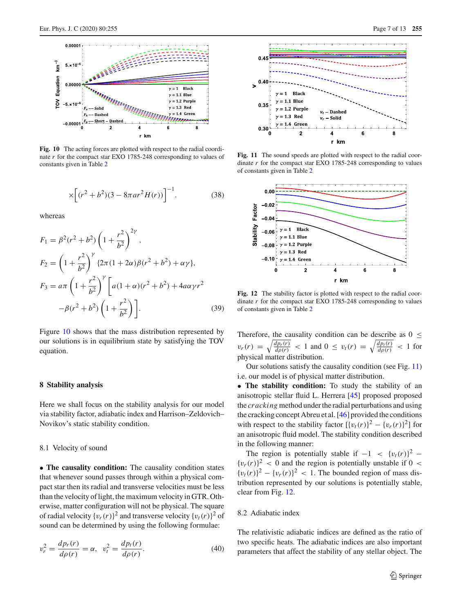

<span id="page-6-3"></span>Fig. 10 The acting forces are plotted with respect to the radial coordinate *r* for the compact star EXO 1785-248 corresponding to values of constants given in Table [2](#page-9-1)

$$
\times \left[ (r^2 + b^2)(3 - 8\pi a r^2 H(r)) \right]^{-1}.
$$
 (38)

whereas

$$
F_1 = \beta^2 (r^2 + b^2) \left( 1 + \frac{r^2}{b^2} \right)^{2\gamma},
$$
  
\n
$$
F_2 = \left( 1 + \frac{r^2}{b^2} \right)^{\gamma} \{ 2\pi (1 + 2\alpha) \beta (r^2 + b^2) + \alpha \gamma \},
$$
  
\n
$$
F_3 = a\pi \left( 1 + \frac{r^2}{b^2} \right)^{\gamma} \left[ a(1 + \alpha)(r^2 + b^2) + 4a\alpha \gamma r^2 - \beta (r^2 + b^2) \left( 1 + \frac{r^2}{b^2} \right) \right].
$$
\n(39)

Figure [10](#page-6-3) shows that the mass distribution represented by our solutions is in equilibrium state by satisfying the TOV equation.

## <span id="page-6-0"></span>**8 Stability analysis**

Here we shall focus on the stability analysis for our model via stability factor, adiabatic index and Harrison–Zeldovich– Novikov's static stability condition.

# <span id="page-6-1"></span>8.1 Velocity of sound

• **The causality condition:** The causality condition states that whenever sound passes through within a physical compact star then its radial and transverse velocities must be less than the velocity of light, the maximum velocity in GTR. Otherwise, matter configuration will not be physical. The square of radial velocity  $\{v_r(r)\}^2$  and transverse velocity  $\{v_t(r)\}^2$  of sound can be determined by using the following formulae:

$$
v_r^2 = \frac{dp_r(r)}{d\rho(r)} = \alpha, \ \ v_t^2 = \frac{dp_t(r)}{d\rho(r)}.
$$
 (40)



<span id="page-6-4"></span>Fig. 11 The sound speeds are plotted with respect to the radial coordinate *r* for the compact star EXO 1785-248 corresponding to values of constants given in Table [2](#page-9-1)



<span id="page-6-5"></span>Fig. 12 The stability factor is plotted with respect to the radial coordinate *r* for the compact star EXO 1785-248 corresponding to values of constants given in Table [2](#page-9-1)

Therefore, the causality condition can be describe as  $0 \leq$  $v_r(r) = \sqrt{\frac{dp_r(r)}{d\rho(r)}} < 1$  and  $0 \le v_t(r) = \sqrt{\frac{dp_t(r)}{d\rho(r)}} < 1$  for physical matter distribution.

Our solutions satisfy the causality condition (see Fig. [11\)](#page-6-4) i.e. our model is of physical matter distribution.

• **The stability condition:** To study the stability of an anisotropic stellar fluid L. Herrera [\[45](#page-11-41)] proposed proposed the *cracking* method under the radial perturbations and using the cracking concept Abreu et al. [\[46](#page-11-42)] provided the conditions with respect to the stability factor  $[\{v_t(r)\}^2 - \{v_r(r)\}^2]$  for an anisotropic fluid model. The stability condition described in the following manner:

The region is potentially stable if  $-1 < \{v_t(r)\}^2$  –  ${v_r(r)}^2$  < 0 and the region is potentially unstable if 0 <  ${v_t(r)}^2 - {v_r(r)}^2 < 1$ . The bounded region of mass distribution represented by our solutions is potentially stable, clear from Fig. [12.](#page-6-5)

## <span id="page-6-2"></span>8.2 Adiabatic index

The relativistic adiabatic indices are defined as the ratio of two specific heats. The adiabatic indices are also important parameters that affect the stability of any stellar object. The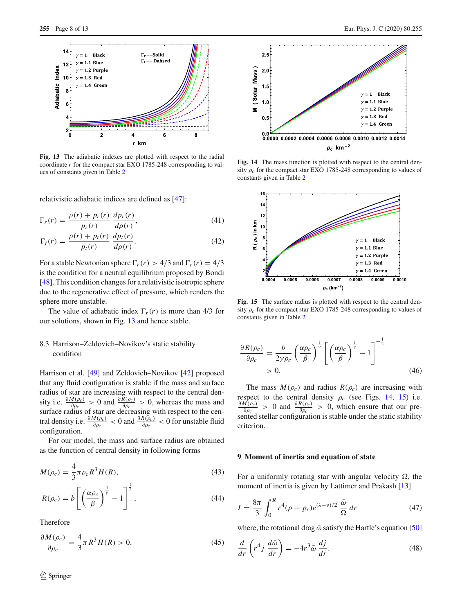

<span id="page-7-2"></span>**Fig. 13** The adiabatic indexes are plotted with respect to the radial coordinate *r* for the compact star EXO 1785-248 corresponding to values of constants given in Table [2](#page-9-1)

relativistic adiabatic indices are defined as [\[47](#page-11-43)]:

$$
\Gamma_r(r) = \frac{\rho(r) + p_r(r)}{p_r(r)} \frac{dp_r(r)}{d\rho(r)},\tag{41}
$$

$$
\Gamma_t(r) = \frac{\rho(r) + p_t(r)}{p_t(r)} \frac{dp_t(r)}{d\rho(r)}.\tag{42}
$$

For a stable Newtonian sphere  $\Gamma_r(r) > 4/3$  and  $\Gamma_r(r) = 4/3$ is the condition for a neutral equilibrium proposed by Bondi [\[48](#page-11-44)]. This condition changes for a relativistic isotropic sphere due to the regenerative effect of pressure, which renders the sphere more unstable.

The value of adiabatic index  $\Gamma_r(r)$  is more than 4/3 for our solutions, shown in Fig. [13](#page-7-2) and hence stable.

# <span id="page-7-0"></span>8.3 Harrison–Zeldovich–Novikov's static stability condition

Harrison et al. [\[49\]](#page-12-0) and Zeldovich–Novikov [\[42](#page-11-38)] proposed that any fluid configuration is stable if the mass and surface radius of star are increasing with respect to the central density i.e.  $\frac{\partial M(\rho_c)}{\partial \rho_c} > 0$  and  $\frac{\partial \bar{R}(\rho_c)}{\partial \rho_c} > 0$ , whereas the mass and surface radius of star are decreasing with respect to the central density i.e.  $\frac{\partial M(\rho_c)}{\partial \rho_c} < 0$  and  $\frac{\partial R(\rho_c)}{\partial \rho_c} < 0$  for unstable fluid configuration.

For our model, the mass and surface radius are obtained as the function of central density in following forms

$$
M(\rho_c) = \frac{4}{3}\pi \rho_c R^3 H(R),
$$
\n(43)

$$
R(\rho_c) = b \left[ \left( \frac{\alpha \rho_c}{\beta} \right)^{\frac{1}{\gamma}} - 1 \right]^{\frac{1}{2}}, \tag{44}
$$

Therefore

$$
\frac{\partial M(\rho_c)}{\partial \rho_c} = \frac{4}{3}\pi R^3 H(R) > 0,
$$
\n(45)



<span id="page-7-3"></span>Fig. 14 The mass function is plotted with respect to the central density  $\rho_c$  for the compact star EXO 1785-248 corresponding to values of constants given in Table [2](#page-9-1)



<span id="page-7-4"></span>Fig. 15 The surface radius is plotted with respect to the central density  $\rho_c$  for the compact star EXO 1785-248 corresponding to values of constants given in Table [2](#page-9-1)

$$
\frac{\partial R(\rho_c)}{\partial \rho_c} = \frac{b}{2\gamma \rho_c} \left(\frac{\alpha \rho_c}{\beta}\right)^{\frac{1}{\gamma}} \left[\left(\frac{\alpha \rho_c}{\beta}\right)^{\frac{1}{\gamma}} - 1\right]^{-\frac{1}{2}}
$$
\n
$$
> 0. \tag{46}
$$

The mass  $M(\rho_c)$  and radius  $R(\rho_c)$  are increasing with respect to the central density  $\rho_c$  (see Figs. [14,](#page-7-3) [15\)](#page-7-4) i.e.  $\partial M(\rho_c)$  $\frac{dI(\rho_c)}{\partial \rho_c} > 0$  and  $\frac{\partial R(\rho_c)}{\partial \rho_c} > 0$ , which ensure that our presented stellar configuration is stable under the static stability criterion.

## <span id="page-7-1"></span>**9 Moment of inertia and equation of state**

For a uniformly rotating star with angular velocity  $\Omega$ , the moment of inertia is given by Lattimer and Prakash [\[13\]](#page-11-11)

$$
I = \frac{8\pi}{3} \int_0^R r^4 (\rho + p_r) e^{(\lambda - \nu)/2} \frac{\bar{\omega}}{\Omega} dr \tag{47}
$$

where, the rotational drag  $\bar{\omega}$  satisfy the Hartle's equation [\[50\]](#page-12-1)

$$
\frac{d}{dr}\left(r^4j\,\frac{d\bar{\omega}}{dr}\right) = -4r^3\bar{\omega}\,\frac{dj}{dr}.\tag{48}
$$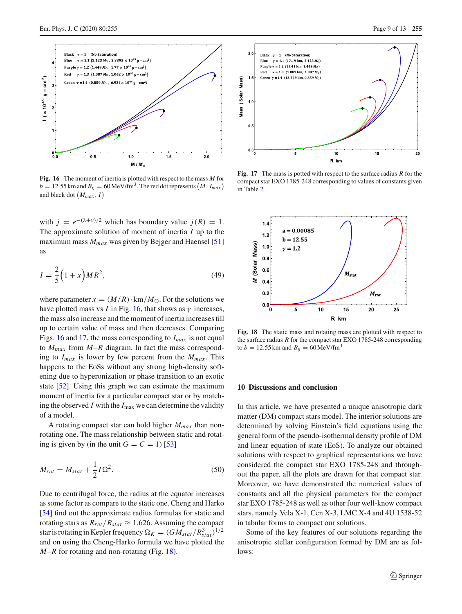

<span id="page-8-1"></span>**Fig. 16** The moment of inertia is plotted with respect to the mass *M* for  $b = 12.55$  km and  $B_g = 60$  MeV/fm<sup>3</sup>. The red dot represents  $(M, I_{max})$ and black dot *Mmax* , *I*

with  $j = e^{-(\lambda + \nu)/2}$  which has boundary value  $j(R) = 1$ . The approximate solution of moment of inertia *I* up to the maximum mass *Mmax* was given by Bejger and Haensel [\[51\]](#page-12-2) as

$$
I = \frac{2}{5} \left( 1 + x \right) M R^2,\tag{49}
$$

where parameter  $x = (M/R) \cdot \text{km}/M_{\odot}$ . For the solutions we have plotted mass vs *I* in Fig. [16,](#page-8-1) that shows as  $\gamma$  increases, the mass also increase and the moment of inertia increases till up to certain value of mass and then decreases. Comparing Figs. [16](#page-8-1) and [17,](#page-8-2) the mass corresponding to *Imax* is not equal to  $M_{max}$  from  $M-R$  diagram. In fact the mass corresponding to  $I_{max}$  is lower by few percent from the  $M_{max}$ . This happens to the EoSs without any strong high-density softening due to hyperonization or phase transition to an exotic state [\[52\]](#page-12-3). Using this graph we can estimate the maximum moment of inertia for a particular compact star or by matching the observed  $I$  with the  $I_{\text{max}}$  we can determine the validity of a model.

A rotating compact star can hold higher *Mmax* than nonrotating one. The mass relationship between static and rotating is given by (in the unit  $G = C = 1$ ) [\[53](#page-12-4)]

$$
M_{rot} = M_{stat} + \frac{1}{2}I\Omega^2.
$$
\n(50)

Due to centrifugal force, the radius at the equator increases as some factor as compare to the static one. Cheng and Harko [\[54](#page-12-5)] find out the approximate radius formulas for static and rotating stars as  $R_{rot}/R_{stat} \approx 1.626$ . Assuming the compact star is rotating in Kepler frequency  $\Omega_K = (GM_{stat}/R_{stat}^3)^{1/2}$ and on using the Cheng-Harko formula we have plotted the *M*–*R* for rotating and non-rotating (Fig. [18\)](#page-8-3).



<span id="page-8-2"></span>**Fig. 17** The mass is potted with respect to the surface radius *R* for the compact star EXO 1785-248 corresponding to values of constants given in Table [2](#page-9-1)



<span id="page-8-3"></span>**Fig. 18** The static mass and rotating mass are plotted with respect to the surface radius *R* for the compact star EXO 1785-248 corresponding to  $b = 12.55$  km and  $B_g = 60$  MeV/fm<sup>3</sup>

### <span id="page-8-0"></span>**10 Discussions and conclusion**

In this article, we have presented a unique anisotropic dark matter (DM) compact stars model. The interior solutions are determined by solving Einstein's field equations using the general form of the pseudo-isothermal density profile of DM and linear equation of state (EoS). To analyze our obtained solutions with respect to graphical representations we have considered the compact star EXO 1785-248 and throughout the paper, all the plots are drawn for that compact star. Moreover, we have demonstrated the numerical values of constants and all the physical parameters for the compact star EXO 1785-248 as well as other four well-know compact stars, namely Vela X-1, Cen X-3, LMC X-4 and 4U 1538-52 in tabular forms to compact our solutions.

Some of the key features of our solutions regarding the anisotropic stellar configuration formed by DM are as follows: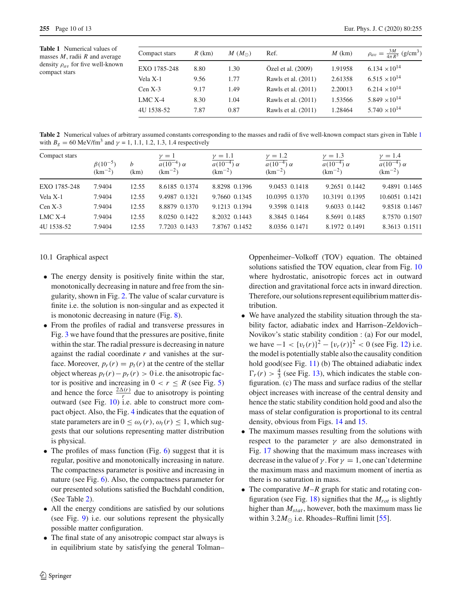<span id="page-9-2"></span>**Table 1** Numerical values of masses *M*, radii *R* and average density ρ*a*<sup>v</sup> for five well-known compact stars

| Compact stars | $R$ (km) | $M(M_{\odot})$ | Ref.                | $M$ (km) | $\rho_{av} = \frac{3M}{4\pi R^3}$ (g/cm <sup>3</sup> ) |
|---------------|----------|----------------|---------------------|----------|--------------------------------------------------------|
| EXO 1785-248  | 8.80     | 1.30           | Özel et al. (2009)  | 1.91958  | $6.134 \times 10^{14}$                                 |
| Vela X-1      | 9.56     | 1.77           | Rawls et al. (2011) | 2.61358  | $6.515 \times 10^{14}$                                 |
| $Cen X-3$     | 9.17     | 1.49           | Rawls et al. (2011) | 2.20013  | $6.214 \times 10^{14}$                                 |
| $LMC X-4$     | 8.30     | 1.04           | Rawls et al. (2011) | 1.53566  | $5.849 \times 10^{14}$                                 |
| 4U 1538-52    | 7.87     | 0.87           | Rawls et al. (2011) | 1.28464  | $5.740 \times 10^{14}$                                 |

<span id="page-9-1"></span>**Table 2** Numerical values of arbitrary assumed constants corresponding to the masses and radii of five well-known compact stars given in Table [1](#page-9-2) with  $B_g = 60 \text{ MeV/fm}^3$  and  $\gamma = 1, 1.1, 1.2, 1.3, 1.4$  respectively

| Compact stars |                                 |           | $\gamma=1$                        | $\gamma=1.1$                      | $\nu = 1.2$                       | $\nu = 1.3$                       | $\nu = 1.4$                       |
|---------------|---------------------------------|-----------|-----------------------------------|-----------------------------------|-----------------------------------|-----------------------------------|-----------------------------------|
|               | $\beta(10^{-5})$<br>$(km^{-2})$ | b<br>(km) | $a(10^{-4})\alpha$<br>$(km^{-2})$ | $a(10^{-4})\alpha$<br>$(km^{-2})$ | $a(10^{-4})\alpha$<br>$(km^{-2})$ | $a(10^{-4})\alpha$<br>$(km^{-2})$ | $a(10^{-4})\alpha$<br>$(km^{-2})$ |
| EXO 1785-248  | 7.9404                          | 12.55     | 8.6185 0.1374                     | 8.8298 0.1396                     | 9.0453 0.1418                     | 9.2651 0.1442                     | 9.4891 0.1465                     |
| Vela X-1      | 7.9404                          | 12.55     | 9.4987 0.1321                     | 9.7660 0.1345                     | 10.0395 0.1370                    | 10.3191 0.1395                    | 10.6051 0.1421                    |
| $Cen X-3$     | 7.9404                          | 12.55     | 8.8879 0.1370                     | 9.1213 0.1394                     | 9.3598 0.1418                     | 9.6033 0.1442                     | 9.8518 0.1467                     |
| $LMC X-4$     | 7.9404                          | 12.55     | 8.0250 0.1422                     | 8.2032 0.1443                     | 8.3845 0.1464                     | 8.5691 0.1485                     | 8.7570 0.1507                     |
| 4U 1538-52    | 7.9404                          | 12.55     | 7.7203 0.1433                     | 7.8767 0.1452                     | 8.0356 0.1471                     | 8.1972 0.1491                     | 8.3613 0.1511                     |

## <span id="page-9-0"></span>10.1 Graphical aspect

- The energy density is positively finite within the star, monotonically decreasing in nature and free from the singularity, shown in Fig. [2.](#page-3-0) The value of scalar curvature is finite i.e. the solution is non-singular and as expected it is monotonic decreasing in nature (Fig. [8\)](#page-4-4).
- From the profiles of radial and transverse pressures in Fig. [3](#page-3-1) we have found that the pressures are positive, finite within the star. The radial pressure is decreasing in nature against the radial coordinate *r* and vanishes at the surface. Moreover,  $p_r(r) = p_t(r)$  at the centre of the stellar object whereas  $p_t(r) - p_r(r) > 0$  i.e. the anisotropic factor is positive and increasing in  $0 < r \le R$  (see Fig. [5\)](#page-3-3) and hence the force  $\frac{2\Delta(r)}{r}$  due to anisotropy is pointing outward (see Fig. [10\)](#page-6-3) i.e. able to construct more compact object. Also, the Fig. [4](#page-3-2) indicates that the equation of state parameters are in  $0 \leq \omega_r(r), \omega_t(r) \leq 1$ , which suggests that our solutions representing matter distribution is physical.
- The profiles of mass function (Fig. [6\)](#page-4-2) suggest that it is regular, positive and monotonically increasing in nature. The compactness parameter is positive and increasing in nature (see Fig. [6\)](#page-4-2). Also, the compactness parameter for our presented solutions satisfied the Buchdahl condition, (See Table [2\)](#page-9-1).
- All the energy conditions are satisfied by our solutions (see Fig. [9\)](#page-5-2) i.e. our solutions represent the physically possible matter configuration.
- The final state of any anisotropic compact star always is in equilibrium state by satisfying the general Tolman–

Oppenheimer–Volkoff (TOV) equation. The obtained solutions satisfied the TOV equation, clear from Fig. [10](#page-6-3) where hydrostatic, anisotropic forces act in outward direction and gravitational force acts in inward direction. Therefore, our solutions represent equilibrium matter distribution.

- We have analyzed the stability situation through the stability factor, adiabatic index and Harrison–Zeldovich– Novikov's static stability condition : (a) For our model, we have  $-1 < \{v_t(r)\}^2 - \{v_r(r)\}^2 < 0$  (see Fig. [12\)](#page-6-5) i.e. the model is potentially stable also the causality condition hold good(see Fig. [11\)](#page-6-4) (b) The obtained adiabatic index  $\Gamma_r(r) > \frac{4}{3}$  (see Fig. [13\)](#page-7-2), which indicates the stable configuration. (c) The mass and surface radius of the stellar object increases with increase of the central density and hence the static stability condition hold good and also the mass of stelar configuration is proportional to its central density, obvious from Figs. [14](#page-7-3) and [15.](#page-7-4)
- The maximum masses resulting from the solutions with respect to the parameter  $\gamma$  are also demonstrated in Fig. [17](#page-8-2) showing that the maximum mass increases with decrease in the value of  $\gamma$ . For  $\gamma = 1$ , one can't determine the maximum mass and maximum moment of inertia as there is no saturation in mass.
- The comparative  $M-R$  graph for static and rotating configuration (see Fig. [18\)](#page-8-3) signifies that the *Mrot* is slightly higher than *Mstat* , however, both the maximum mass lie within  $3.2M_{\odot}$  i.e. Rhoades–Ruffini limit [\[55\]](#page-12-6).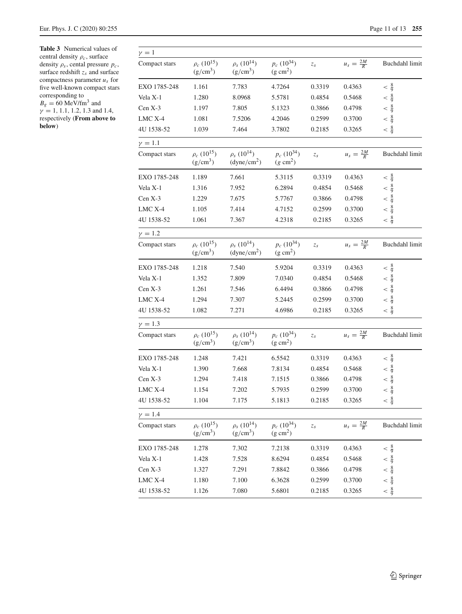<span id="page-10-0"></span>**Table 3** Numerical values of central density ρ*c*, surface density ρ*<sup>s</sup>* , cental pressure *pc*, surface redshift  $z_s$  and surface compactness parameter *u<sup>s</sup>* for five well-known compact stars corresponding to  $B_g = 60 \text{ MeV/fm}^3$  and  $\gamma = 1, 1.1, 1.2, 1.3$  and 1.4,

respectively (**From above to below**)

| $\gamma=1$     |                                            |                                                         |                                        |                 |                      |                                                               |
|----------------|--------------------------------------------|---------------------------------------------------------|----------------------------------------|-----------------|----------------------|---------------------------------------------------------------|
| Compact stars  | $\rho_c\ (10^{15})$<br>$(g/cm^3)$          | $\rho_s(10^{14})$<br>$(g/cm^3)$                         | $p_c(10^{34})$<br>$(g \text{ cm}^2)$   | $z_s$           | $u_s = \frac{2M}{R}$ | Buchdahl limit                                                |
| EXO 1785-248   | 1.161                                      | 7.783                                                   | 4.7264                                 | 0.3319          | 0.4363               | $< \frac{8}{9}$                                               |
| Vela X-1       | 1.280                                      | 8.0968                                                  | 5.5781                                 | 0.4854          | 0.5468               |                                                               |
| Cen X-3        | 1.197                                      | 7.805                                                   | 5.1323                                 | 0.3866          | 0.4798               | $\begin{array}{r} < \frac{8}{9} \\ < \frac{8}{9} \end{array}$ |
| LMC X-4        | 1.081                                      | 7.5206                                                  | 4.2046                                 | 0.2599          | 0.3700               | $\frac{8}{9}$<br>$\lt$                                        |
| 4U 1538-52     | 1.039                                      | 7.464                                                   | 3.7802                                 | 0.2185          | 0.3265               | $< \frac{8}{9}$                                               |
| $\gamma=1.1$   |                                            |                                                         |                                        |                 |                      |                                                               |
| Compact stars  | $\rho_c (10^{15})$<br>$(g/cm^3)$           | $\rho_s (10^{14})$<br>(dyne/cm <sup>2</sup> )           | $p_c\ (10^{34})$<br>$(g \text{ cm}^2)$ | $z_s$           | $u_s = \frac{2M}{R}$ | Buchdahl limit                                                |
| EXO 1785-248   | 1.189                                      | 7.661                                                   | 5.3115                                 | 0.3319          | 0.4363               | $< \frac{8}{9}$                                               |
| Vela X-1       | 1.316                                      | 7.952                                                   | 6.2894                                 | 0.4854          | 0.5468               | $< \frac{8}{9}$                                               |
| $Cen X-3$      | 1.229                                      | 7.675                                                   | 5.7767                                 | 0.3866          | 0.4798               | $< \frac{8}{9}$                                               |
| LMC X-4        | 1.105                                      | 7.414                                                   | 4.7152                                 | 0.2599          | 0.3700               | $< \frac{8}{9}$                                               |
| 4U 1538-52     | 1.061                                      | 7.367                                                   | 4.2318                                 | 0.2185          | 0.3265               | $< \frac{8}{9}$                                               |
| $\gamma = 1.2$ |                                            |                                                         |                                        |                 |                      |                                                               |
| Compact stars  | $\rho_c$ (10 <sup>15</sup> )<br>$(g/cm^3)$ | $\rho_s$ (10 <sup>14</sup> )<br>(dyne/cm <sup>2</sup> ) | $p_c(10^{34})$<br>$(g \text{ cm}^2)$   | $\mathcal{Z}_S$ | $u_s = \frac{2M}{R}$ | Buchdahl limit                                                |
| EXO 1785-248   | 1.218                                      | 7.540                                                   | 5.9204                                 | 0.3319          | 0.4363               | $< \frac{8}{9}$                                               |
| Vela X-1       | 1.352                                      | 7.809                                                   | 7.0340                                 | 0.4854          | 0.5468               | $< \frac{8}{9}$                                               |
| Cen X-3        | 1.261                                      | 7.546                                                   | 6.4494                                 | 0.3866          | 0.4798               | $\frac{8}{9}$<br>$\lt$                                        |
| LMC X-4        | 1.294                                      | 7.307                                                   | 5.2445                                 | 0.2599          | 0.3700               | $< \frac{8}{9}$                                               |
| 4U 1538-52     | 1.082                                      | 7.271                                                   | 4.6986                                 | 0.2185          | 0.3265               | $< \frac{8}{9}$                                               |
| $\gamma = 1.3$ |                                            |                                                         |                                        |                 |                      |                                                               |
| Compact stars  | $\rho_c\ (10^{15})$<br>$(g/cm^3)$          | $\rho_s(10^{14})$<br>$(g/cm^3)$                         | $p_c(10^{34})$<br>$(g \text{ cm}^2)$   | $z_s$           | $u_s = \frac{2M}{R}$ | Buchdahl limit                                                |
| EXO 1785-248   | 1.248                                      | 7.421                                                   | 6.5542                                 | 0.3319          | 0.4363               | $< \frac{8}{9}$                                               |
| Vela X-1       | 1.390                                      | 7.668                                                   | 7.8134                                 | 0.4854          | 0.5468               | $\frac{8}{9}$<br>$\lt$                                        |
| $Cen X-3$      | 1.294                                      | 7.418                                                   | 7.1515                                 | 0.3866          | 0.4798               | $\frac{8}{9}$<br>$\lt$                                        |
| LMC X-4        | 1.154                                      | 7.202                                                   | 5.7935                                 | 0.2599          | 0.3700               | $< \frac{8}{9}$                                               |
| 4U 1538-52     | 1.104                                      | 7.175                                                   | 5.1813                                 | 0.2185          | 0.3265               | $< \frac{8}{9}$                                               |
| $\gamma = 1.4$ |                                            |                                                         |                                        |                 |                      |                                                               |
| Compact stars  | $\rho_c$ (10 <sup>15</sup> )<br>$(g/cm^3)$ | $\rho_s$ (10 <sup>14</sup> )<br>$(g/cm^3)$              | $p_c(10^{34})$<br>$(g \text{ cm}^2)$   | $\mathcal{Z}_S$ | $u_s = \frac{2M}{R}$ | Buchdahl limit                                                |
| EXO 1785-248   | 1.278                                      | 7.302                                                   | 7.2138                                 | 0.3319          | 0.4363               | $< \frac{8}{9}$                                               |
| Vela X-1       | 1.428                                      | 7.528                                                   | 8.6294                                 | 0.4854          | 0.5468               | $\frac{8}{9}$<br>$\lt$                                        |
| Cen X-3        | 1.327                                      | 7.291                                                   | 7.8842                                 | 0.3866          | 0.4798               | $\frac{8}{9}$<br>$\lt$                                        |
| LMC X-4        | 1.180                                      | 7.100                                                   | 6.3628                                 | 0.2599          | 0.3700               | $\frac{8}{9}$<br>$\lt$                                        |
| 4U 1538-52     | 1.126                                      | 7.080                                                   | 5.6801                                 | 0.2185          | 0.3265               | $< \frac{8}{9}$                                               |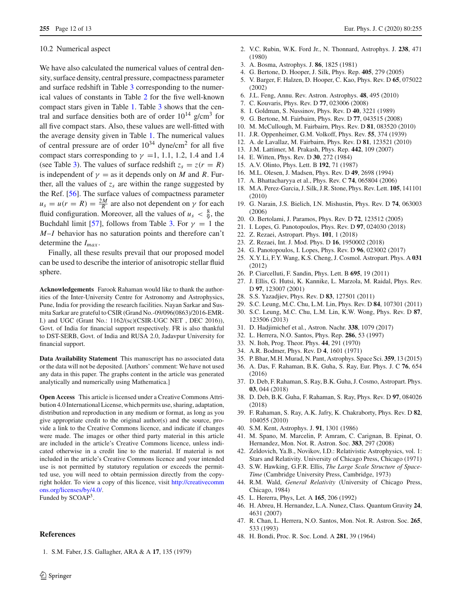### <span id="page-11-34"></span>10.2 Numerical aspect

We have also calculated the numerical values of central density, surface density, central pressure, compactness parameter and surface redshift in Table [3](#page-10-0) corresponding to the numerical values of constants in Table [2](#page-9-1) for the five well-known compact stars given in Table [1.](#page-9-2) Table [3](#page-10-0) shows that the central and surface densities both are of order  $10^{14}$  g/cm<sup>3</sup> for all five compact stars. Also, these values are well-fitted with the average density given in Table [1.](#page-9-2) The numerical values of central pressure are of order  $10^{34}$  dyne/cm<sup>2</sup> for all five compact stars corresponding to  $\gamma = 1, 1.1, 1.2, 1.4$  and 1.4 (see Table [3\)](#page-10-0). The values of surface redshift  $z_s = z(r = R)$ is independent of  $\gamma =$  as it depends only on *M* and *R*. Further, all the values of  $z_s$  are within the range suggested by the Ref. [\[56\]](#page-12-7). The surface values of compactness parameter  $u_s = u(r = R) = \frac{2M}{R}$  are also not dependent on  $\gamma$  for each fluid configuration. Moreover, all the values of  $u_s < \frac{8}{9}$ , the Buchdahl limit [\[57\]](#page-12-8), follows from Table [3.](#page-10-0) For  $\gamma = 1$  the *M*–*I* behavior has no saturation points and therefore can't determine the *Imax* .

Finally, all these results prevail that our proposed model can be used to describe the interior of anisotropic stellar fluid sphere.

**Acknowledgements** Farook Rahaman would like to thank the authorities of the Inter-University Centre for Astronomy and Astrophysics, Pune, India for providing the research facilities. Nayan Sarkar and Susmita Sarkar are grateful to CSIR (Grand No.-09/096(0863)/2016-EMR-I.) and UGC (Grant No.: 1162/(sc)(CSIR-UGC NET , DEC 2016)), Govt. of India for financial support respectively. FR is also thankful to DST-SERB, Govt. of India and RUSA 2.0, Jadavpur University for financial support.

**Data Availability Statement** This manuscript has no associated data or the data will not be deposited. [Authors' comment: We have not used any data in this paper. The graphs content in the article was generated analytically and numerically using Mathematica.]

**Open Access** This article is licensed under a Creative Commons Attribution 4.0 International License, which permits use, sharing, adaptation, distribution and reproduction in any medium or format, as long as you give appropriate credit to the original author(s) and the source, provide a link to the Creative Commons licence, and indicate if changes were made. The images or other third party material in this article are included in the article's Creative Commons licence, unless indicated otherwise in a credit line to the material. If material is not included in the article's Creative Commons licence and your intended use is not permitted by statutory regulation or exceeds the permitted use, you will need to obtain permission directly from the copyright holder. To view a copy of this licence, visit [http://creativecomm](http://creativecommons.org/licenses/by/4.0/) [ons.org/licenses/by/4.0/.](http://creativecommons.org/licenses/by/4.0/) Funded by SCOAP<sup>3</sup>.

#### **References**

<span id="page-11-0"></span>1. S.M. Faber, J.S. Gallagher, ARA & A **17**, 135 (1979)

- 2. V.C. Rubin, W.K. Ford Jr., N. Thonnard, Astrophys. J. **238**, 471 (1980)
- <span id="page-11-1"></span>3. A. Bosma, Astrophys. J. **86**, 1825 (1981)
- <span id="page-11-2"></span>4. G. Bertone, D. Hooper, J. Silk, Phys. Rep. **405**, 279 (2005)
- <span id="page-11-3"></span>5. V. Barger, F. Halzen, D. Hooper, C. Kao, Phys. Rev. D **65**, 075022 (2002)
- <span id="page-11-4"></span>6. J.L. Feng, Annu. Rev. Astron. Astrophys. **48**, 495 (2010)
- <span id="page-11-5"></span>7. C. Kouvaris, Phys. Rev. D **77**, 023006 (2008)
- <span id="page-11-6"></span>8. I. Goldman, S. Nussinov, Phys. Rev. D **40**, 3221 (1989)
- <span id="page-11-7"></span>9. G. Bertone, M. Fairbairn, Phys. Rev. D **77**, 043515 (2008)
- <span id="page-11-8"></span>10. M. McCullough, M. Fairbairn, Phys. Rev. D **81**, 083520 (2010)
- <span id="page-11-10"></span>11. J.R. Oppenheimer, G.M. Volkoff, Phys. Rev. **55**, 374 (1939)
- <span id="page-11-9"></span>12. A. de Lavallaz, M. Fairbairn, Phys. Rev. D **81**, 123521 (2010)
- <span id="page-11-11"></span>13. J.M. Lattimer, M. Prakash, Phys. Rep. **442**, 109 (2007)
- <span id="page-11-12"></span>14. E. Witten, Phys. Rev. D **30**, 272 (1984)
- <span id="page-11-13"></span>15. A.V. Olinto, Phys. Lett. B **192**, 71 (1987)
- 16. M.L. Olesen, J. Madsen, Phys. Rev. D **49**, 2698 (1994)
- <span id="page-11-14"></span>17. A. Bhattacharyya et al., Phys. Rev. C **74**, 065804 (2006)
- <span id="page-11-15"></span>18. M.A. Perez-Garcia, J. Silk, J.R. Stone, Phys. Rev. Lett. **105**, 141101 (2010)
- <span id="page-11-16"></span>19. G. Narain, J.S. Bielich, I.N. Mishustin, Phys. Rev. D **74**, 063003 (2006)
- <span id="page-11-17"></span>20. O. Bertolami, J. Paramos, Phys. Rev. D **72**, 123512 (2005)
- <span id="page-11-18"></span>21. I. Lopes, G. Panotopoulos, Phys. Rev. D **97**, 024030 (2018)
- <span id="page-11-19"></span>22. Z. Rezaei, Astropart. Phys. **101**, 1 (2018)
- <span id="page-11-20"></span>23. Z. Rezaei, Int. J. Mod. Phys. D **16**, 1950002 (2018)
- <span id="page-11-21"></span>24. G. Panotopoulos, I. Lopes, Phys. Rev. D **96**, 023002 (2017)
- <span id="page-11-22"></span>25. X.Y. Li, F.Y. Wang, K.S. Cheng, J. Cosmol. Astropart. Phys. A **031** (2012)
- <span id="page-11-23"></span>26. P. Ciarcelluti, F. Sandin, Phys. Lett. B **695**, 19 (2011)
- <span id="page-11-24"></span>27. J. Ellis, G. Hutsi, K. Kannike, L. Marzola, M. Raidal, Phys. Rev. D **97**, 123007 (2001)
- <span id="page-11-25"></span>28. S.S. Yazadjiev, Phys. Rev. D **83**, 127501 (2011)
- <span id="page-11-26"></span>29. S.C. Leung, M.C. Chu, L.M. Lin, Phys. Rev. D **84**, 107301 (2011) 30. S.C. Leung, M.C. Chu, L.M. Lin, K.W. Wong, Phys. Rev. D **87**,
- <span id="page-11-27"></span>123506 (2013) 31. D. Hadjimichef et al., Astron. Nachr. **338**, 1079 (2017)
- <span id="page-11-29"></span><span id="page-11-28"></span>32. L. Herrera, N.O. Santos, Phys. Rep. **286**, 53 (1997)
- <span id="page-11-30"></span>33. N. Itoh, Prog. Theor. Phys. **44**, 291 (1970)
- <span id="page-11-31"></span>34. A.R. Bodmer, Phys. Rev. D **4**, 1601 (1971)
- <span id="page-11-32"></span>35. P. Bhar, M.H. Murad, N. Pant, Astrophys. Space Sci. **359**, 13 (2015)
- 36. A. Das, F. Rahaman, B.K. Guha, S. Ray, Eur. Phys. J. C **76**, 654 (2016)
- 37. D. Deb, F. Rahaman, S. Ray, B.K. Guha, J. Cosmo, Astropart. Phys. **03**, 044 (2018)
- <span id="page-11-33"></span>38. D. Deb, B.K. Guha, F. Rahaman, S. Ray, Phys. Rev. D **97**, 084026 (2018)
- <span id="page-11-35"></span>39. F. Rahaman, S. Ray, A.K. Jafry, K. Chakraborty, Phys. Rev. D **82**, 104055 (2010)
- <span id="page-11-36"></span>40. S.M. Kent, Astrophys. J. **91**, 1301 (1986)
- <span id="page-11-37"></span>41. M. Spano, M. Marcelin, P. Amram, C. Carignan, B. Epinat, O. Hernandez, Mon. Not. R. Astron. Soc. **383**, 297 (2008)
- <span id="page-11-38"></span>42. Zeldovich, Ya.B., Novikov, I.D.: Relativistic Astrophysics, vol. 1: Stars and Relativity. University of Chicago Press, Chicago (1971)
- <span id="page-11-39"></span>43. S.W. Hawking, G.F.R. Ellis, *The Large Scale Structure of Space-Time* (Cambridge University Press, Cambridge, 1973)
- <span id="page-11-40"></span>44. R.M. Wald, *General Relativity* (University of Chicago Press, Chicago, 1984)
- <span id="page-11-41"></span>45. L. Hererra, Phys, Let. A **165**, 206 (1992)
- <span id="page-11-42"></span>46. H. Abreu, H. Hernandez, L.A. Nunez, Class. Quantum Gravity **24**, 4631 (2007)
- <span id="page-11-43"></span>47. R. Chan, L. Herrera, N.O. Santos, Mon. Not. R. Astron. Soc. **265**, 533 (1993)
- <span id="page-11-44"></span>48. H. Bondi, Proc. R. Soc. Lond. A **281**, 39 (1964)